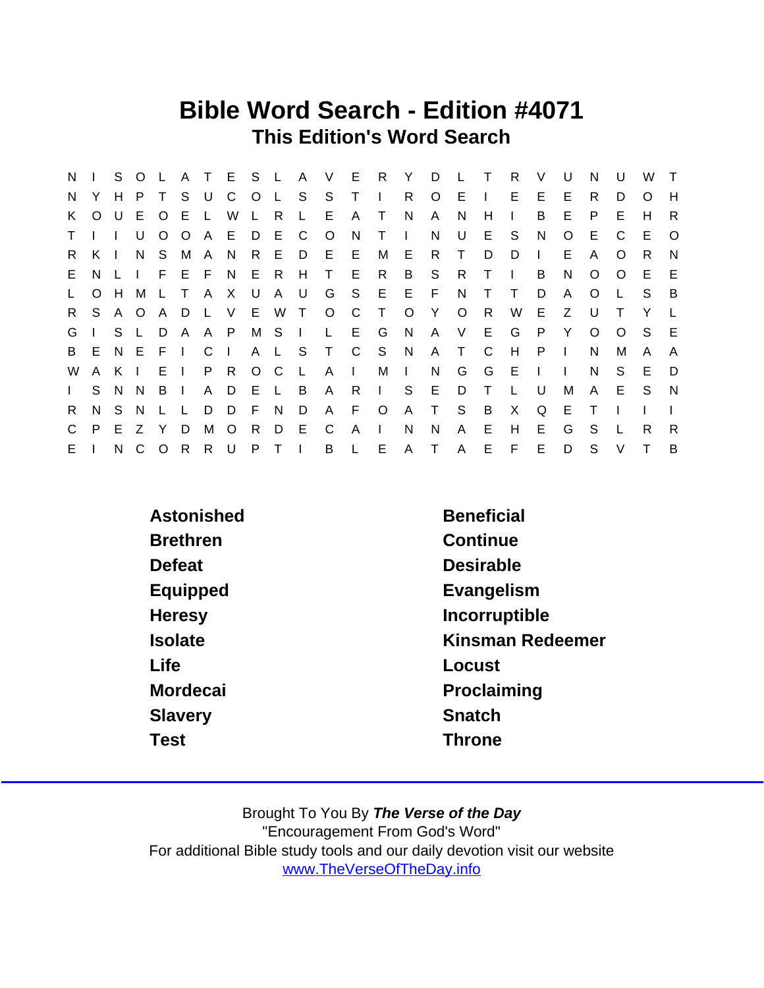## Bible Word Search - Edition #4071 This Edition's Word Search

| N            |         | S.  | $\circ$ |              |              |              | A T E S      |                | $\mathsf{L}$   | A            | V            | E              | R              | Y            | D            |              | $\top$       | R.           | V            | U            | N        | $\mathsf{U}$ | W   | $\top$   |
|--------------|---------|-----|---------|--------------|--------------|--------------|--------------|----------------|----------------|--------------|--------------|----------------|----------------|--------------|--------------|--------------|--------------|--------------|--------------|--------------|----------|--------------|-----|----------|
| N.           |         | H.  | P.      |              | S            | U            | C            | $\overline{O}$ | L S            |              | S.           | $\top$         | $\Box$         | R.           | $\circ$      | E            | $\mathbf{L}$ | E.           | E.           | Е            | R.       | D            | O   | H        |
| K.           | $\circ$ |     | $U$ E   | $\circ$      | E.           | $\mathbf{L}$ | W            | $\perp$        | R              | L.           | E            | A              | $\top$         | N            | A            | N.           | H            | $\mathbf{I}$ | B            | E            | P.       | Е            | H   | R        |
| $\mathsf T$  |         |     | U       | $\circ$      | $\circ$      |              | AED          |                | E.             | C            | $\circ$      | N              | T              | $\mathbf{L}$ | N            | U            | E.           | S.           | N            | $\Omega$     | E.       | C            | E   | $\Omega$ |
| R.           | K I     |     | N.      | S.           | M A          |              | N.           | R              | - E            | D            |              | $E$ $E$        | М              | E            | R.           | $\top$       | D            | D            | $\mathbf{L}$ | E.           | A        | $\Omega$     | R.  | N        |
| E.           | N.      |     | $\Box$  |              | FEFN         |              |              | E R            |                | H            | T.           | E.             | R              | B            | S.           | R.           | T            | -1           | B            | N            | O        | O            | E.  | E        |
| $\mathsf{L}$ | $\circ$ | H.  | M       | $\mathsf{L}$ | $\top$       | $\mathsf{A}$ | $\mathsf{X}$ | $\bigcup$      | AU             |              | G            |                | S E E F        |              |              | N.           | т            | Τ            | D            | A            | O        |              | S.  | B        |
| $R_{\perp}$  | S.      | A O |         | A            | D            | L V          |              | E W            |                | $\top$       | $\circ$      | C              | $\top$         | $\circ$      | Y            | $\circ$      | R.           | W            | E.           | Z            | U        |              | Y   |          |
| G            |         | S L |         | D            | $\mathsf{A}$ | A P          |              |                | MS I           |              | $\mathsf{L}$ |                | E G            | N            | A            | V            | E            | G            | P            | Y            | $\Omega$ | $\Omega$     | S.  | E        |
| B            | E.      |     | N E     | $F \perp$    |              | $C \mid$     |              |                | A L S          |              |              |                | T C S N        |              | $\mathsf{A}$ | $\top$       | C            | H            | P            | $\mathbf{I}$ | N        | М            | A   | A        |
| W            | A       | K I |         | EI           |              | P R          |              | $O$ $C$        |                | $\mathsf{L}$ | $\mathsf{A}$ | $\mathbb{R}^n$ | M              | $\mathbf{I}$ | N.           | G            | G            | E            | $\mathbf{L}$ | $\mathbf{I}$ | N        | S.           | E   | D        |
| $\mathbf{L}$ | S       | N N |         | B I          |              | A D          |              | - E            | $\mathsf{L}$   | - B          | A            | R.             | $\mathbf{1}$ . | S            | E            | D            | Τ            | L            | U            | М            | A        | E            | S S | N        |
| R.           | N.      | S.  | - N     |              | L.           | D            | D            | - F            | N.             | D            | $\mathsf{A}$ | F.             | $\circ$ O      |              | A T          | S.           | B            | X            | Q            | E            | $\top$   |              |     |          |
| $\mathsf{C}$ | P.      | E.  | Z       | Y            | D            | М            | $\circ$      | R.             | D              | E            | C            | A              | $\mathbf{L}$   | N            | N            | A            | E            | H            | E.           | G            | S.       |              | R.  | R        |
| E.           |         | N.  | C       | $\circ$      | $\mathsf{R}$ | R U          |              | P              | T <sub>1</sub> |              | B            | $\mathsf{L}$   | E              | A T          |              | $\mathsf{A}$ | E.           | F.           | E.           | D            | S        | $\vee$       | т   | B        |

| Astonished      | <b>Beneficial</b> |
|-----------------|-------------------|
| <b>Brethren</b> | Continue          |
| Defeat          | <b>Desirable</b>  |
| Equipped        | Evangelism        |
| Heresy          | Incorruptible     |
| <b>Isolate</b>  | Kinsman Redeemer  |
| Life            | Locust            |
| Mordecai        | Proclaiming       |
| Slavery         | Snatch            |
| Test            | <b>Throne</b>     |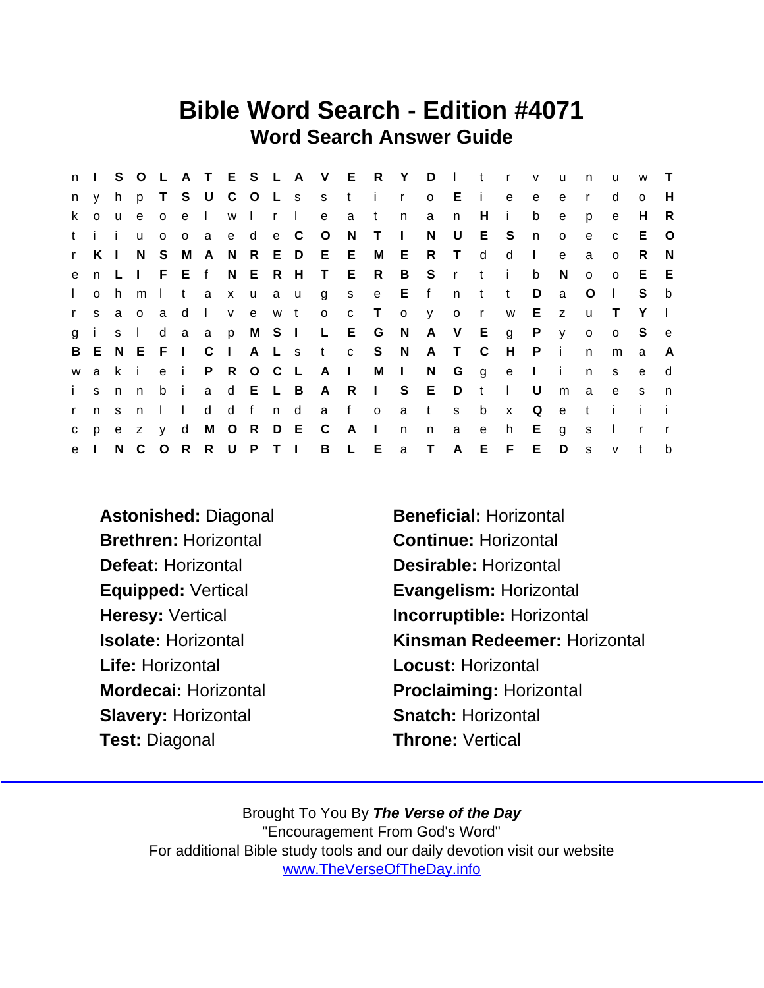## Bible Word Search - Edition #4071 Word Search Answer Guide

|              | $n \mid$     |          |              |              |                 |                |                |              |                |        | S O L A T E S L A V E R |              |              | Y            | D.           | $\mathbf{L}$ | $-t$           | $\mathbf{r}$   | $\mathsf{V}$ | u            | n            | u            | W            | $\top$       |
|--------------|--------------|----------|--------------|--------------|-----------------|----------------|----------------|--------------|----------------|--------|-------------------------|--------------|--------------|--------------|--------------|--------------|----------------|----------------|--------------|--------------|--------------|--------------|--------------|--------------|
| n            | y.           | h.       |              |              | p T S U C       |                |                |              |                |        | O L s s t               |              | $\mathbf{i}$ | $\mathsf{r}$ | $\circ$      | Ei           |                | e              | e            | e            | $\mathsf{r}$ | d            | $\Omega$     | н            |
| k.           | $\Omega$     | <b>u</b> | $\mathbf{e}$ | $\circ$      | e I             |                | W              | $\mathbf{L}$ | $\mathsf{r}$   | $\Box$ | $\mathbf{e}$            | a            | $\mathbf{t}$ | n            | a            | n            | H              | $\blacksquare$ | b            | e            | p            | e            | H            | R            |
|              | tii          |          | u            | $\circ$      | $\circ$         | $\overline{a}$ |                | e d e C      |                |        | $\circ$                 | N,           | $\top$       | $\Box$       | N            | U            | E S            |                | n            | $\circ$      | e            | $\mathbf{C}$ | E.           | $\circ$      |
| $\mathbf{r}$ | KI           |          | N.           | S.           |                 | M A N R E D    |                |              |                |        | E E                     |              | M            | Е            | $\mathsf{R}$ | $\top$       | d              | d              | $\mathbf{I}$ | e            | a            | $\Omega$     | R.           | N            |
| e            |              | n L      |              |              | I F E f N E R H |                |                |              |                |        | T E                     |              | R            | B            | $^{\circ}$ S |              | r ti           |                | b            | N.           | $\circ$      | $\Omega$     | E            | - E          |
| $\mathbf{L}$ | $\circ$      | h.       | m            | $\mathbf{I}$ | t.              | $\mathbf{a}$   |                | x u a u      |                |        | g                       | S            | e            | E            | f            | n            | $-t$           | $-t$           | D            | a            | $\circ$      | $\perp$      | S.           | b            |
| $\mathbf{r}$ | S.           | a        | $\circ$      | a a          | d               | $\Box$         | V              |              | e w t          |        | $\circ$                 | $\mathbf{C}$ | $\top$       | $\mathsf{o}$ | $\mathbf{V}$ | o r          |                | W              | E.           | Z            | u            | $\top$       | Y            | $\perp$      |
| $\mathbf{q}$ | $\mathbf{i}$ | S        | $\Box$       | d            | a               | $\mathbf{a}$   | $\mathsf{p}$   |              |                |        | M S I L E               |              | G            | N            |              | A V E        |                | $\mathsf{g}$   | P            | $\mathsf{V}$ | $\circ$      | $\Omega$     | S            | e            |
|              |              |          | B E N E F I  |              |                 | C              | $\mathbf{1}$   |              | A L s          |        | t c S                   |              |              | N            | A            | $\top$       | $\mathsf{C}$   | H              | $\mathsf{P}$ | - i          | $\mathsf{n}$ | m            | a            | A            |
| W            |              | a k      | -i-          | e i          |                 |                | P R            |              | O C L          |        | $A \mid$                |              | М            | $\mathbb{R}$ | N            | G            | $\overline{g}$ | e              | $\sim 1$ .   | j.           | n.           | s            | e            | d            |
| $\mathbf{i}$ | S.           | n        | n.           | b i          |                 | a              | d              |              | E L B          |        | A                       | $\mathsf{R}$ | $\pm 1$      | S            | E            | D            | t              | $\mathbf{L}$   | U            | m            | a            | e            | s.           | $\mathsf{n}$ |
| $\mathbf{r}$ | n            | s.       | n.           | $\mathbf{L}$ | $\Box$          | d              |                | d f          | n d            |        | a                       | f            | $\circ$      | a            | t            | S            | $\mathsf{b}$   | $\mathsf{x}$   | Q            | $\mathbf{e}$ | t            | Ť.           | i.           |              |
| $\mathbf{C}$ | D            | e        | z            | V            | d               | M              | $\overline{O}$ | R            | D E            |        | $\mathbf{C}$            | - A          | $\mathbf{L}$ | n.           | n            | a            | e              | h.             | E.           | g            | S            | $\mathbf{L}$ | $\mathsf{r}$ |              |
| e            |              |          | N C          | $\circ$      | R               |                |                | R U P        | T <sub>1</sub> |        | B                       | $L$ $E$      |              | $\mathsf{a}$ | $\top$       | $\mathsf{A}$ | E.             | F.             | E.           | D            | S            | $\mathsf{v}$ | $\mathbf{t}$ | b            |

Astonished: Diagonal Beneficial: Horizontal Brethren: Horizontal Continue: Horizontal Defeat: Horizontal Desirable: Horizontal Life: Horizontal **Locust:** Horizontal Slavery: Horizontal Snatch: Horizontal Test: Diagonal **Throne:** Vertical

Equipped: Vertical Evangelism: Horizontal Heresy: Vertical **Incorruptible: Horizontal** Isolate: Horizontal Kinsman Redeemer: Horizontal Mordecai: Horizontal Proclaiming: Horizontal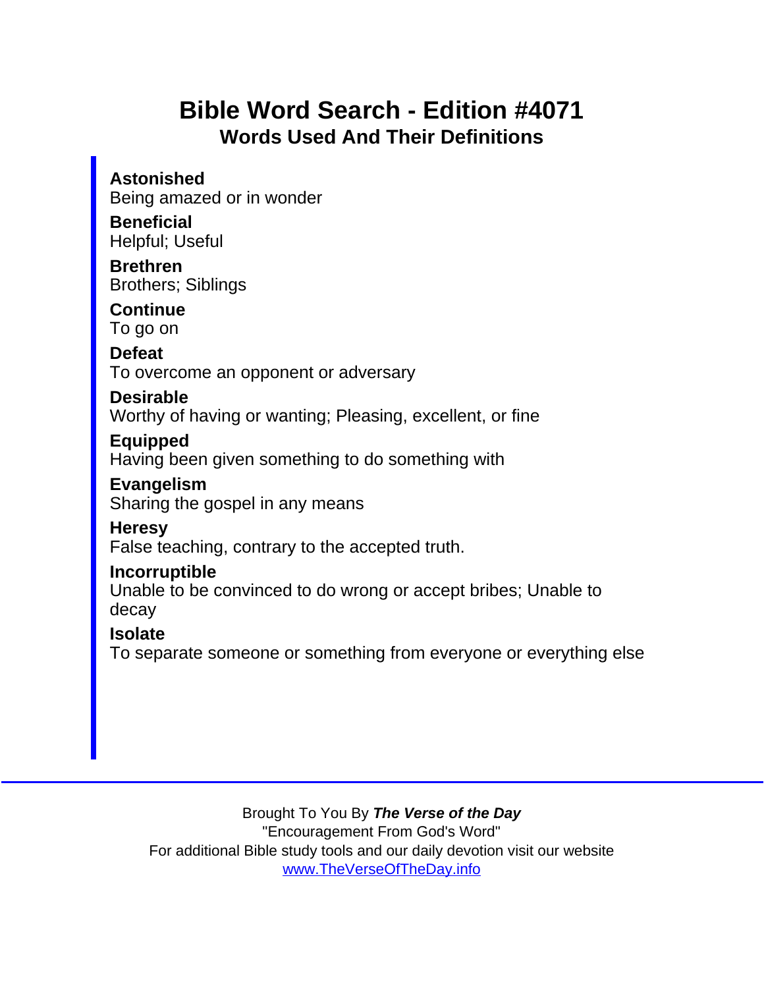## Bible Word Search - Edition #4071 Words Used And Their Definitions

Astonished Being amazed or in wonder **Beneficial** Helpful; Useful Brethren Brothers; Siblings **Continue** To go on **Defeat** To overcome an opponent or adversary Desirable Worthy of having or wanting; Pleasing, excellent, or fine Equipped Having been given something to do something with Evangelism Sharing the gospel in any means **Heresy** False teaching, contrary to the accepted truth. Incorruptible Unable to be convinced to do wrong or accept bribes; Unable to decay **Isolate** To separate someone or something from everyone or everything else